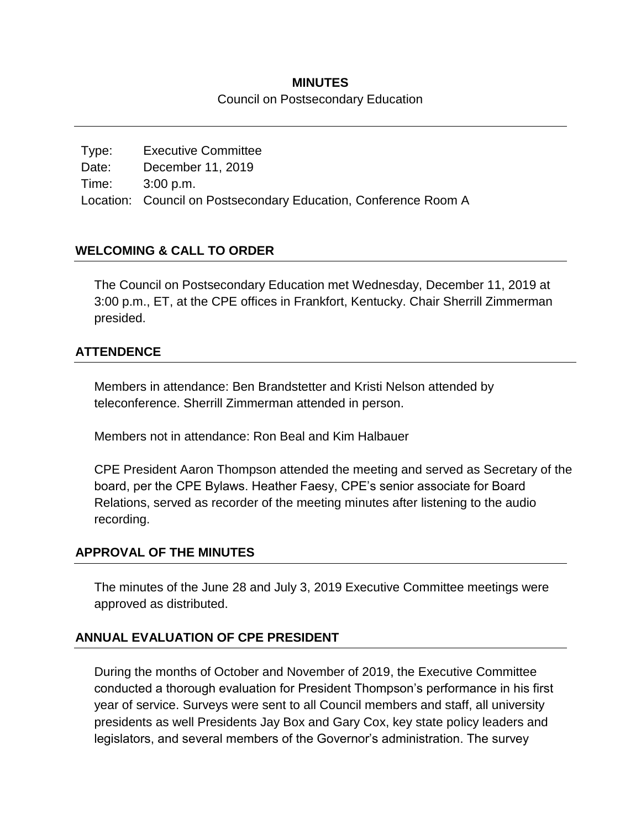### **MINUTES** Council on Postsecondary Education

Type: Executive Committee Date: December 11, 2019 Time: 3:00 p.m. Location: Council on Postsecondary Education, Conference Room A

# **WELCOMING & CALL TO ORDER**

The Council on Postsecondary Education met Wednesday, December 11, 2019 at 3:00 p.m., ET, at the CPE offices in Frankfort, Kentucky. Chair Sherrill Zimmerman presided.

## **ATTENDENCE**

Members in attendance: Ben Brandstetter and Kristi Nelson attended by teleconference. Sherrill Zimmerman attended in person.

Members not in attendance: Ron Beal and Kim Halbauer

CPE President Aaron Thompson attended the meeting and served as Secretary of the board, per the CPE Bylaws. Heather Faesy, CPE's senior associate for Board Relations, served as recorder of the meeting minutes after listening to the audio recording.

### **APPROVAL OF THE MINUTES**

The minutes of the June 28 and July 3, 2019 Executive Committee meetings were approved as distributed.

# **ANNUAL EVALUATION OF CPE PRESIDENT**

During the months of October and November of 2019, the Executive Committee conducted a thorough evaluation for President Thompson's performance in his first year of service. Surveys were sent to all Council members and staff, all university presidents as well Presidents Jay Box and Gary Cox, key state policy leaders and legislators, and several members of the Governor's administration. The survey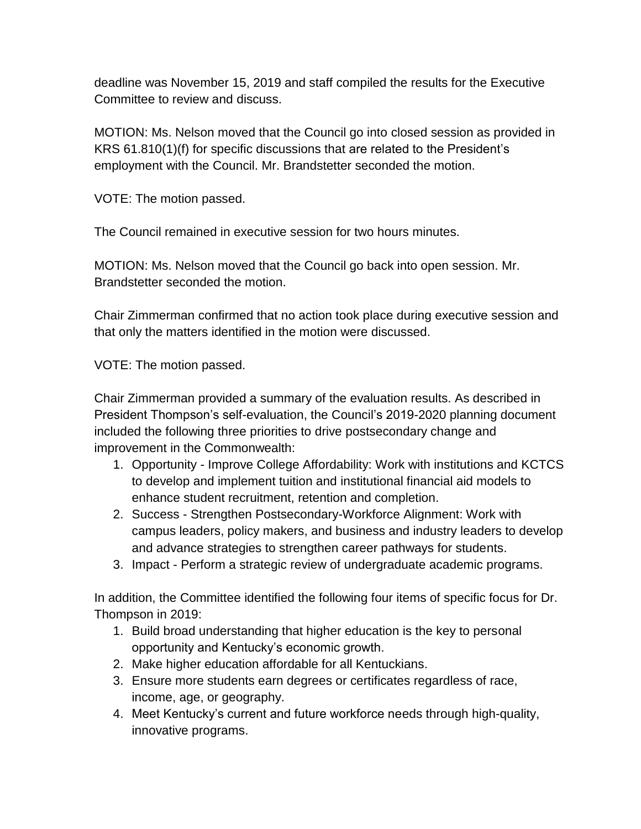deadline was November 15, 2019 and staff compiled the results for the Executive Committee to review and discuss.

MOTION: Ms. Nelson moved that the Council go into closed session as provided in KRS 61.810(1)(f) for specific discussions that are related to the President's employment with the Council. Mr. Brandstetter seconded the motion.

VOTE: The motion passed.

The Council remained in executive session for two hours minutes.

MOTION: Ms. Nelson moved that the Council go back into open session. Mr. Brandstetter seconded the motion.

Chair Zimmerman confirmed that no action took place during executive session and that only the matters identified in the motion were discussed.

VOTE: The motion passed.

Chair Zimmerman provided a summary of the evaluation results. As described in President Thompson's self-evaluation, the Council's 2019-2020 planning document included the following three priorities to drive postsecondary change and improvement in the Commonwealth:

- 1. Opportunity Improve College Affordability: Work with institutions and KCTCS to develop and implement tuition and institutional financial aid models to enhance student recruitment, retention and completion.
- 2. Success Strengthen Postsecondary-Workforce Alignment: Work with campus leaders, policy makers, and business and industry leaders to develop and advance strategies to strengthen career pathways for students.
- 3. Impact Perform a strategic review of undergraduate academic programs.

In addition, the Committee identified the following four items of specific focus for Dr. Thompson in 2019:

- 1. Build broad understanding that higher education is the key to personal opportunity and Kentucky's economic growth.
- 2. Make higher education affordable for all Kentuckians.
- 3. Ensure more students earn degrees or certificates regardless of race, income, age, or geography.
- 4. Meet Kentucky's current and future workforce needs through high-quality, innovative programs.